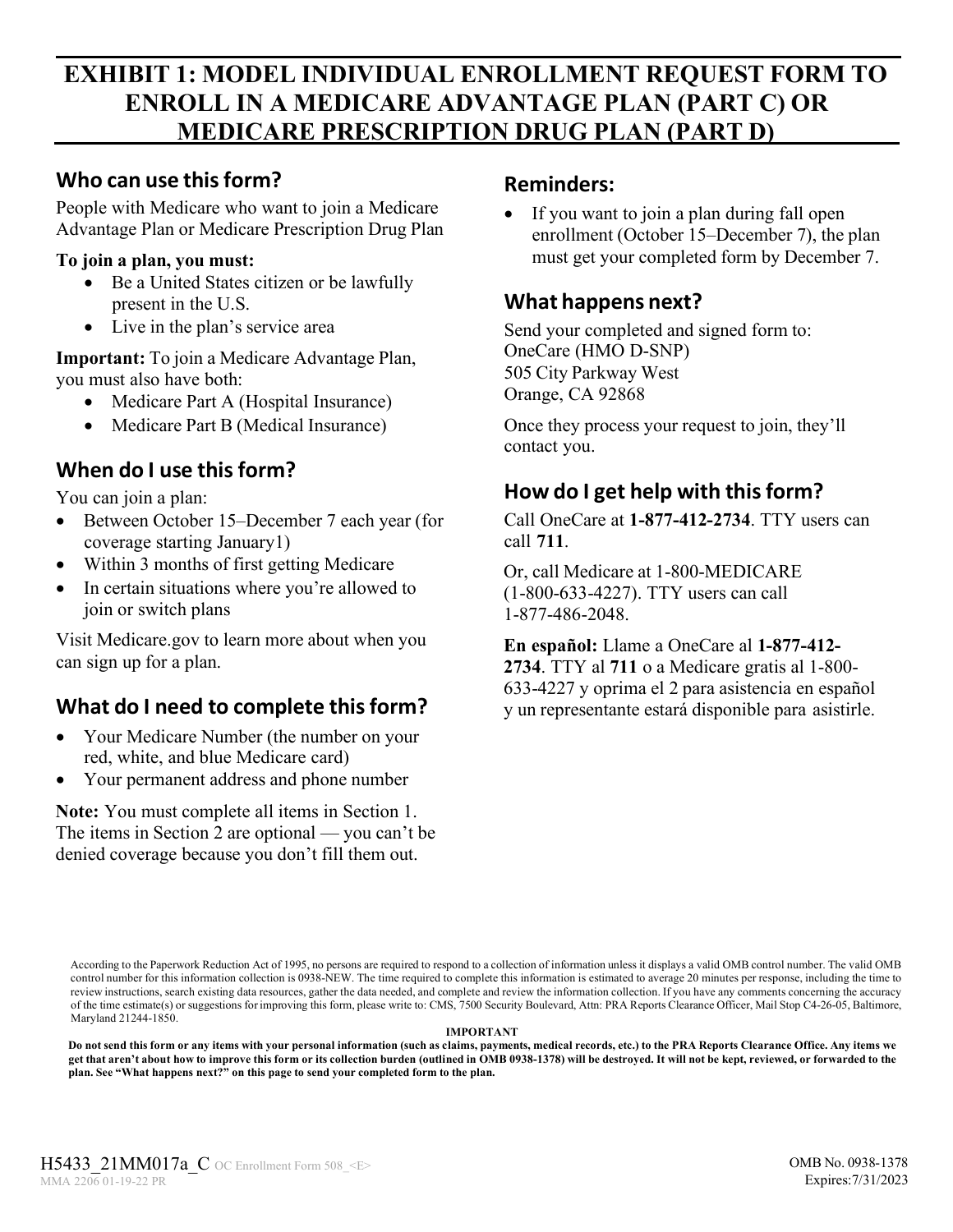# **EXHIBIT 1: MODEL INDIVIDUAL ENROLLMENT REQUEST FORM TO ENROLL IN A MEDICARE ADVANTAGE PLAN (PART C) OR MEDICARE PRESCRIPTION DRUG PLAN (PART D)**

### **Who can use thisform?**

People with Medicare who want to join a Medicare Advantage Plan or Medicare Prescription Drug Plan

#### **To join a plan, you must:**

- Be a United States citizen or be lawfully present in the U.S.
- Live in the plan's service area

**Important:** To join a Medicare Advantage Plan, you must also have both:

- Medicare Part A (Hospital Insurance)
- Medicare Part B (Medical Insurance)

## **When do I use thisform?**

You can join a plan:

- Between October 15–December 7 each year (for coverage starting January1)
- Within 3 months of first getting Medicare
- In certain situations where you're allowed to join or switch plans

Visit [Medicare.gov](http://medicare.gov/) to learn more about when you can sign up for a plan.

# **What do I need to complete thisform?**

- Your Medicare Number (the number on your red, white, and blue Medicare card)
- Your permanent address and phone number

**Note:** You must complete all items in Section 1. The items in Section 2 are optional — you can't be denied coverage because you don't fill them out.

### **Reminders:**

If you want to join a plan during fall open enrollment (October 15–December 7), the plan must get your completed form by December 7.

## **What happens next?**

Send your completed and signed form to: OneCare (HMO D-SNP) 505 City Parkway West Orange, CA 92868

Once they process your request to join, they'll contact you.

## **How do I get help with thisform?**

Call OneCare at **1-877-412-2734**. TTY users can call **711**.

Or, call Medicare at 1-800-MEDICARE (1-800-633-4227). TTY users can call 1-877-486-2048.

**En español:** Llame a OneCare al **1-877-412- 2734**. TTY al **711** o a Medicare gratis al 1-800- 633-4227 y oprima el 2 para asistencia en español y un representante estará disponible para asistirle.

According to the Paperwork Reduction Act of 1995, no persons are required to respond to a collection of information unless it displays a valid OMB control number. The valid OMB control number for this information collection is 0938-NEW. The time required to complete this information is estimated to average 20 minutes per response, including the time to review instructions, search existing data resources, gather the data needed, and complete and review the information collection. If you have any comments concerning the accuracy of the time estimate(s) or suggestions forimproving this form, please write to: CMS, 7500 Security Boulevard, Attn: PRA Reports Clearance Officer, Mail Stop C4-26-05, Baltimore, Maryland 21244-1850.

#### **IMPORTANT**

Do not send this form or any items with your personal information (such as claims, payments, medical records, etc.) to the PRA Reports Clearance Office. Any items we get that aren't about how to improve this form or its collection burden (outlined in OMB 0938-1378) will be destroyed. It will not be kept, reviewed, or forwarded to the **plan. See "What happens next?" on this page to send your completed form to the plan.**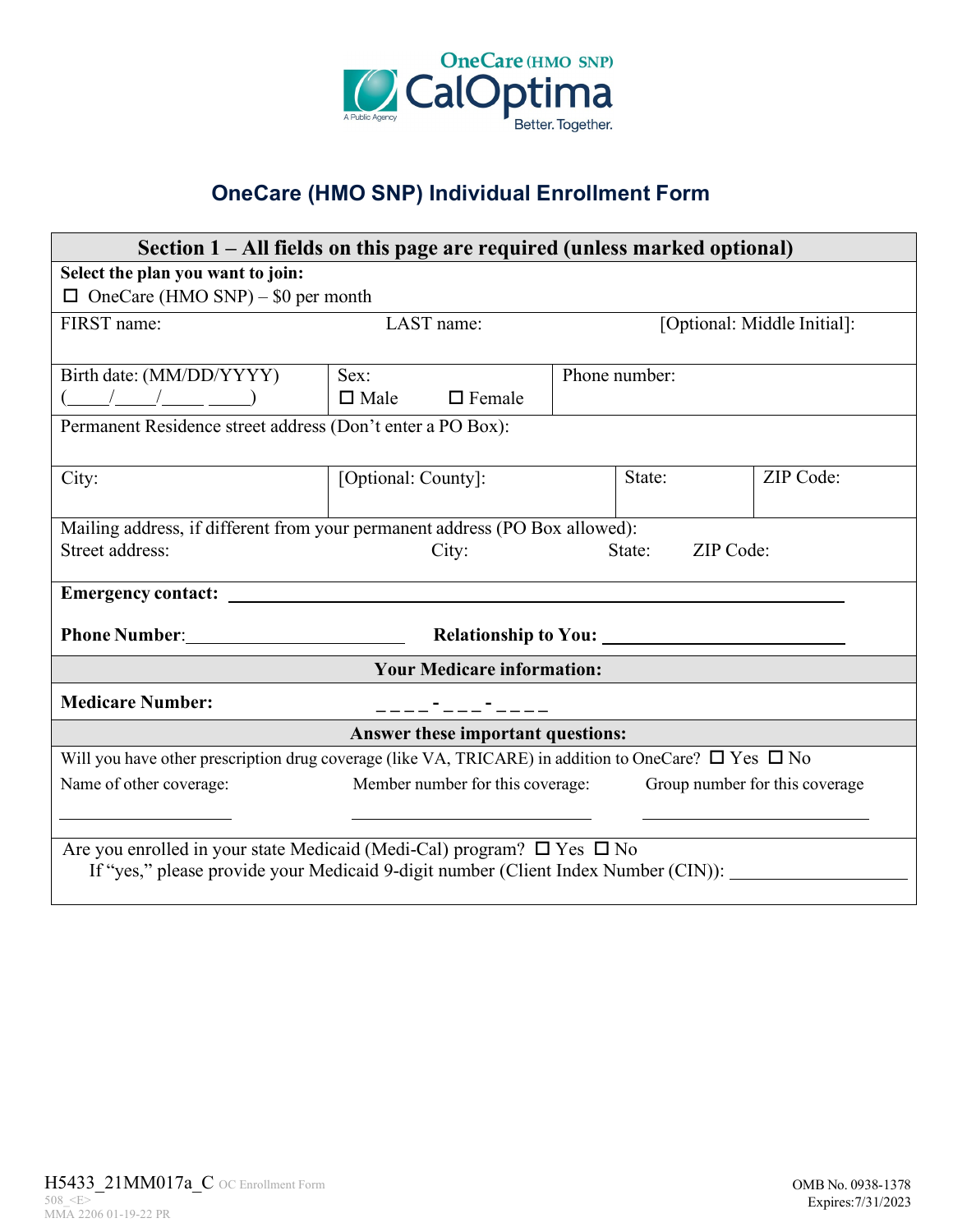

# **OneCare (HMO SNP) Individual Enrollment Form**

| Section 1 – All fields on this page are required (unless marked optional)                                                                                              |                                                                 |                             |           |  |  |
|------------------------------------------------------------------------------------------------------------------------------------------------------------------------|-----------------------------------------------------------------|-----------------------------|-----------|--|--|
| Select the plan you want to join:                                                                                                                                      |                                                                 |                             |           |  |  |
| $\Box$ OneCare (HMO SNP) – \$0 per month                                                                                                                               |                                                                 |                             |           |  |  |
| FIRST name:                                                                                                                                                            | LAST name:                                                      | [Optional: Middle Initial]: |           |  |  |
|                                                                                                                                                                        |                                                                 |                             |           |  |  |
| Birth date: (MM/DD/YYYY)                                                                                                                                               | Sex:                                                            | Phone number:               |           |  |  |
| $\begin{array}{c c c c c c c c c} \hline \begin{array}{c c c} & \end{array} & \begin{array}{c} \end{array} & \end{array}$ $\Box$ Male $\Box$ Female                    |                                                                 |                             |           |  |  |
| Permanent Residence street address (Don't enter a PO Box):                                                                                                             |                                                                 |                             |           |  |  |
|                                                                                                                                                                        |                                                                 |                             |           |  |  |
| City:                                                                                                                                                                  | [Optional: County]:                                             | State:                      | ZIP Code: |  |  |
|                                                                                                                                                                        |                                                                 |                             |           |  |  |
| Mailing address, if different from your permanent address (PO Box allowed):                                                                                            |                                                                 |                             |           |  |  |
| Street address:                                                                                                                                                        | City:                                                           | State:<br>ZIP Code:         |           |  |  |
|                                                                                                                                                                        |                                                                 |                             |           |  |  |
|                                                                                                                                                                        |                                                                 |                             |           |  |  |
|                                                                                                                                                                        |                                                                 |                             |           |  |  |
| <b>Your Medicare information:</b>                                                                                                                                      |                                                                 |                             |           |  |  |
| <b>Medicare Number:</b>                                                                                                                                                | _____-__-____                                                   |                             |           |  |  |
| Answer these important questions:                                                                                                                                      |                                                                 |                             |           |  |  |
| Will you have other prescription drug coverage (like VA, TRICARE) in addition to OneCare? $\Box$ Yes $\Box$ No                                                         |                                                                 |                             |           |  |  |
| Name of other coverage:                                                                                                                                                | Member number for this coverage: Group number for this coverage |                             |           |  |  |
|                                                                                                                                                                        | <u> 1989 - Johann Stein, mars an t-Amerikaansk ferskeizh (</u>  |                             |           |  |  |
|                                                                                                                                                                        |                                                                 |                             |           |  |  |
| Are you enrolled in your state Medicaid (Medi-Cal) program? $\Box$ Yes $\Box$ No<br>If "yes," please provide your Medicaid 9-digit number (Client Index Number (CIN)): |                                                                 |                             |           |  |  |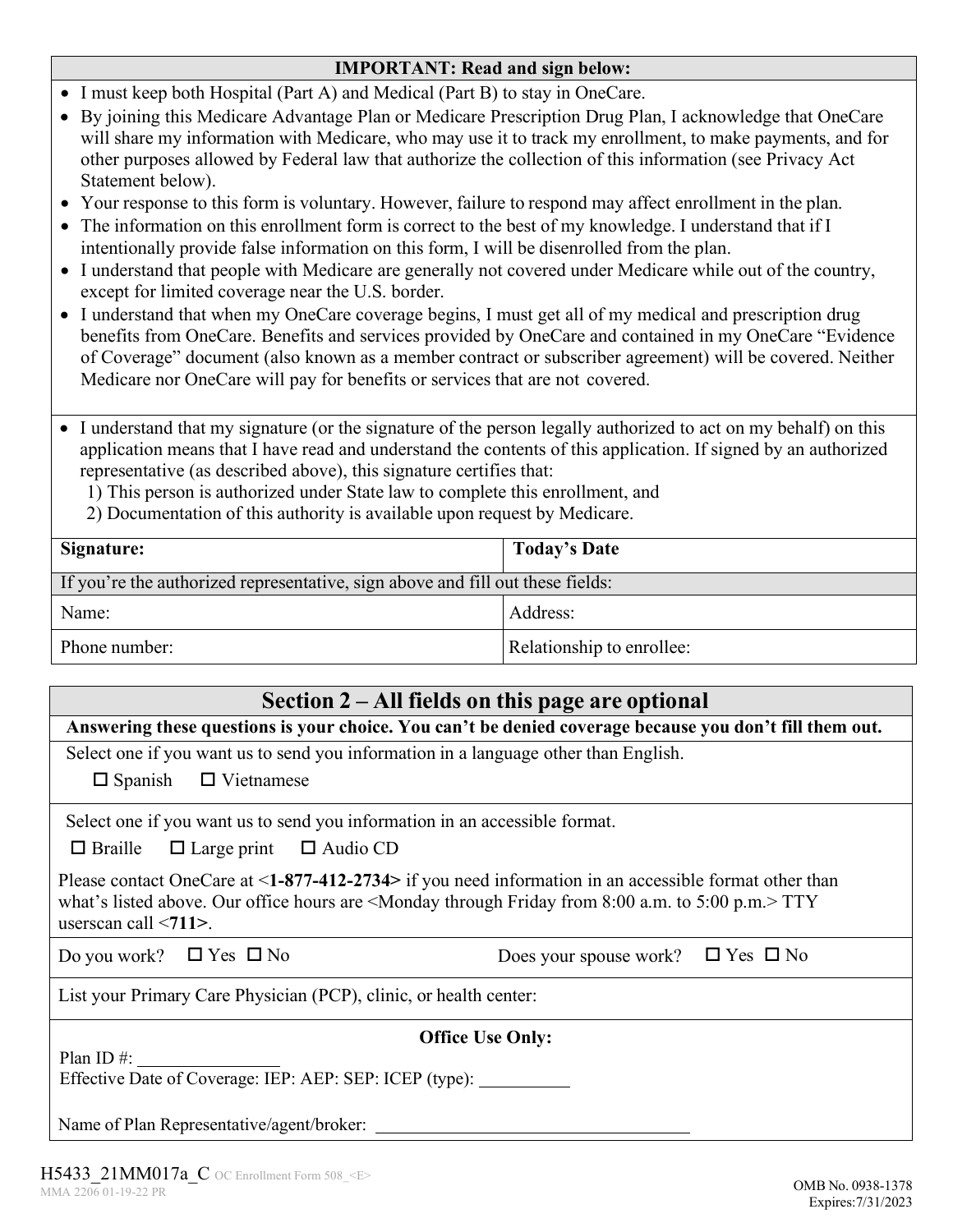#### **IMPORTANT: Read and sign below:**

- I must keep both Hospital (Part A) and Medical (Part B) to stay in OneCare.
- By joining this Medicare Advantage Plan or Medicare Prescription Drug Plan, I acknowledge that OneCare will share my information with Medicare, who may use it to track my enrollment, to make payments, and for other purposes allowed by Federal law that authorize the collection of this information (see Privacy Act Statement below).
- Your response to this form is voluntary. However, failure to respond may affect enrollment in the plan.
- The information on this enrollment form is correct to the best of my knowledge. I understand that if I intentionally provide false information on this form, I will be disenrolled from the plan.
- I understand that people with Medicare are generally not covered under Medicare while out of the country, except for limited coverage near the U.S. border.
- I understand that when my OneCare coverage begins, I must get all of my medical and prescription drug benefits from OneCare. Benefits and services provided by OneCare and contained in my OneCare "Evidence of Coverage" document (also known as a member contract or subscriber agreement) will be covered. Neither Medicare nor OneCare will pay for benefits or services that are not covered.
- I understand that my signature (or the signature of the person legally authorized to act on my behalf) on this application means that I have read and understand the contents of this application. If signed by an authorized representative (as described above), this signature certifies that:

1) This person is authorized under State law to complete this enrollment, and

2) Documentation of this authority is available upon request by Medicare.

| Signature:                                                                     | <b>Today's Date</b>       |  |  |
|--------------------------------------------------------------------------------|---------------------------|--|--|
| If you're the authorized representative, sign above and fill out these fields: |                           |  |  |
| Name:                                                                          | Address:                  |  |  |
| Phone number:                                                                  | Relationship to enrollee: |  |  |

| Section $2 - All$ fields on this page are optional                                                                                                                                                                                                     |  |  |  |  |
|--------------------------------------------------------------------------------------------------------------------------------------------------------------------------------------------------------------------------------------------------------|--|--|--|--|
| Answering these questions is your choice. You can't be denied coverage because you don't fill them out.                                                                                                                                                |  |  |  |  |
| Select one if you want us to send you information in a language other than English.                                                                                                                                                                    |  |  |  |  |
| $\Box$ Spanish $\Box$ Vietnamese                                                                                                                                                                                                                       |  |  |  |  |
| Select one if you want us to send you information in an accessible format.                                                                                                                                                                             |  |  |  |  |
| $\Box$ Braille $\Box$ Large print $\Box$ Audio CD                                                                                                                                                                                                      |  |  |  |  |
| Please contact OneCare at $\leq$ 1-877-412-2734> if you need information in an accessible format other than<br>what's listed above. Our office hours are $\leq$ Monday through Friday from 8:00 a.m. to 5:00 p.m. $>$ TTY<br>userscan call $\le$ 711>. |  |  |  |  |
| Do you work? $\Box$ Yes $\Box$ No<br>Does your spouse work? $\Box$ Yes $\Box$ No                                                                                                                                                                       |  |  |  |  |
| List your Primary Care Physician (PCP), clinic, or health center:                                                                                                                                                                                      |  |  |  |  |
| <b>Office Use Only:</b>                                                                                                                                                                                                                                |  |  |  |  |
| Plan ID $\#$ :                                                                                                                                                                                                                                         |  |  |  |  |
| Effective Date of Coverage: IEP: AEP: SEP: ICEP (type):                                                                                                                                                                                                |  |  |  |  |
| Name of Plan Representative/agent/broker:                                                                                                                                                                                                              |  |  |  |  |